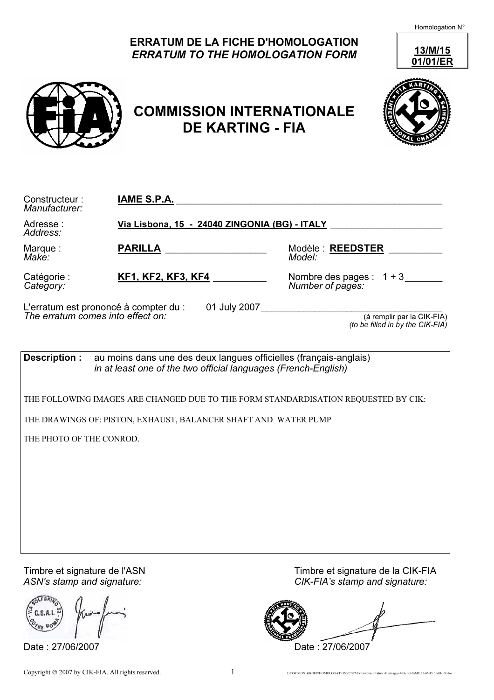Homologation N°

#### ERRATUM DE LA FICHE D'HOMOLOGATION ERRATUM TO THE HOMOLOGATION FORM





# COMMISSION INTERNATIONALE DE KARTING - FIA



| Constructeur:<br>Manufacturer:                                             | <b>IAME S.P.A.</b>                                                                                                                  |                                                                |  |  |
|----------------------------------------------------------------------------|-------------------------------------------------------------------------------------------------------------------------------------|----------------------------------------------------------------|--|--|
| Adresse:<br>Address:                                                       | Via Lisbona, 15 - 24040 ZINGONIA (BG) - ITALY                                                                                       |                                                                |  |  |
| Marque:<br>Make:                                                           | <b>PARILLA</b>                                                                                                                      | Modèle : REEDSTER<br>Model:                                    |  |  |
| Catégorie :<br>Category:                                                   | <b>KF1, KF2, KF3, KF4</b>                                                                                                           | Nombre des pages : $1 + 3$<br>Number of pages:                 |  |  |
| L'erratum est prononcé à compter du :<br>The erratum comes into effect on: | 01 July 2007                                                                                                                        | (à remplir par la CIK-FIA)<br>(to be filled in by the CIK-FIA) |  |  |
| Description:                                                               | au moins dans une des deux langues officielles (français-anglais)<br>in at least one of the two official languages (French-English) |                                                                |  |  |
|                                                                            | THE FOLLOWING IMAGES ARE CHANGED DUE TO THE FORM STANDARDISATION REQUESTED BY CIK:                                                  |                                                                |  |  |

THE DRAWINGS OF: PISTON, EXHAUST, BALANCER SHAFT AND WATER PUMP

THE PHOTO OF THE CONROD.

Timbre et signature de l'ASN<br>
ASN's stamp and signature:<br>
ASN's stamp and signature:<br>
Timbre et signature de la CIK-FIA<br>
CIK-FIA's stamp and signature: CIK-FIA's stamp and signature:

Date : 27/06/2007 Date : 27/06/2007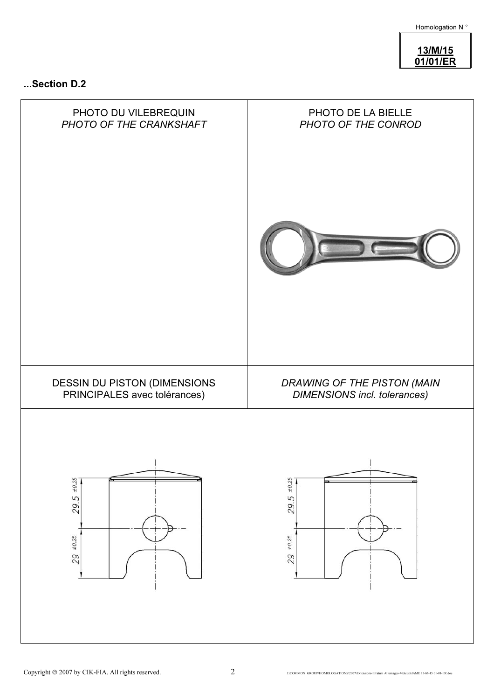Homologation N °

### 13/M/15 01/01/ER

...Section D.2

| PHOTO DU VILEBREQUIN         | PHOTO DE LA BIELLE                  |  |
|------------------------------|-------------------------------------|--|
| PHOTO OF THE CRANKSHAFT      | PHOTO OF THE CONROD                 |  |
|                              |                                     |  |
| DESSIN DU PISTON (DIMENSIONS | DRAWING OF THE PISTON (MAIN         |  |
| PRINCIPALES avec tolérances) | <b>DIMENSIONS incl. tolerances)</b> |  |
| $29.5 + 0.25$                | $29.5 + 0.25$                       |  |
| 29 ±0.25                     | 29 ±0.25                            |  |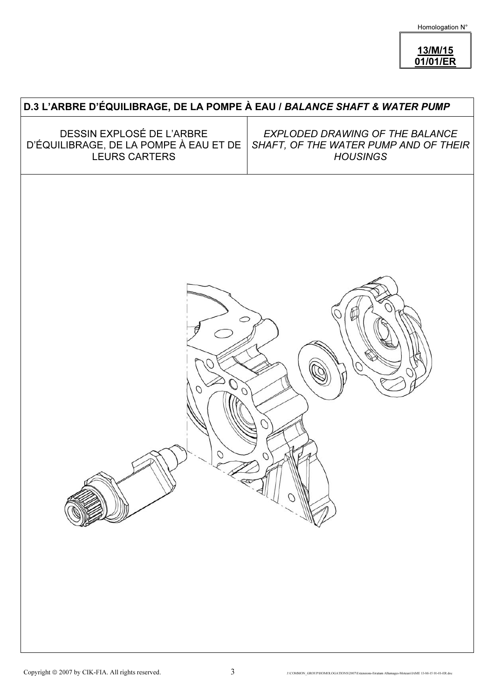٦

#### 13/M/15 01/01/ER

| D.3 L'ARBRE D'ÉQUILIBRAGE, DE LA POMPE À EAU / BALANCE SHAFT & WATER PUMP                   |                                                                                             |  |  |  |  |
|---------------------------------------------------------------------------------------------|---------------------------------------------------------------------------------------------|--|--|--|--|
| DESSIN EXPLOSÉ DE L'ARBRE<br>D'ÉQUILIBRAGE, DE LA POMPE À EAU ET DE<br><b>LEURS CARTERS</b> | EXPLODED DRAWING OF THE BALANCE<br>SHAFT, OF THE WATER PUMP AND OF THEIR<br><b>HOUSINGS</b> |  |  |  |  |
|                                                                                             |                                                                                             |  |  |  |  |
|                                                                                             |                                                                                             |  |  |  |  |
|                                                                                             |                                                                                             |  |  |  |  |
|                                                                                             |                                                                                             |  |  |  |  |
|                                                                                             |                                                                                             |  |  |  |  |
|                                                                                             | Þ                                                                                           |  |  |  |  |
|                                                                                             |                                                                                             |  |  |  |  |
|                                                                                             |                                                                                             |  |  |  |  |
|                                                                                             |                                                                                             |  |  |  |  |

 $\mathsf{r}$